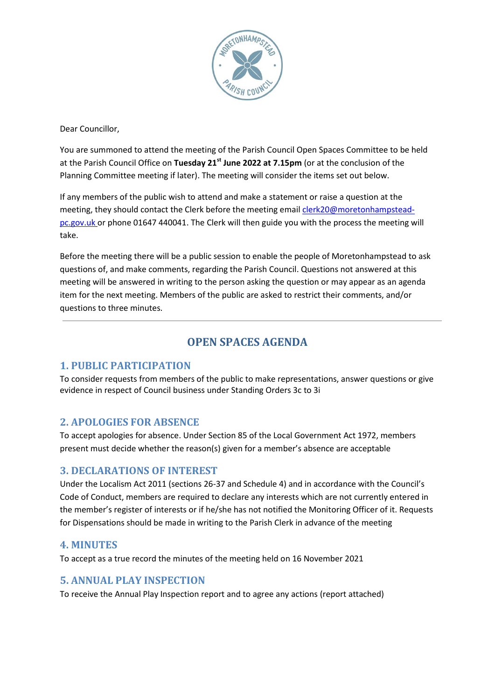

Dear Councillor,

You are summoned to attend the meeting of the Parish Council Open Spaces Committee to be held at the Parish Council Office on **Tuesday 21st June 2022 at 7.15pm** (or at the conclusion of the Planning Committee meeting if later). The meeting will consider the items set out below.

If any members of the public wish to attend and make a statement or raise a question at the meeting, they should contact the Clerk before the meeting emai[l clerk20@moretonhampstead](mailto:clerk20@moretonhampstead-pc.gov.uk)[pc.gov.uk](mailto:clerk20@moretonhampstead-pc.gov.uk) or phone 01647 440041. The Clerk will then guide you with the process the meeting will take.

Before the meeting there will be a public session to enable the people of Moretonhampstead to ask questions of, and make comments, regarding the Parish Council. Questions not answered at this meeting will be answered in writing to the person asking the question or may appear as an agenda item for the next meeting. Members of the public are asked to restrict their comments, and/or questions to three minutes.

# **OPEN SPACES AGENDA**

#### **1. PUBLIC PARTICIPATION**

To consider requests from members of the public to make representations, answer questions or give evidence in respect of Council business under Standing Orders 3c to 3i

## **2. APOLOGIES FOR ABSENCE**

To accept apologies for absence. Under Section 85 of the Local Government Act 1972, members present must decide whether the reason(s) given for a member's absence are acceptable

#### **3. DECLARATIONS OF INTEREST**

Under the Localism Act 2011 (sections 26-37 and Schedule 4) and in accordance with the Council's Code of Conduct, members are required to declare any interests which are not currently entered in the member's register of interests or if he/she has not notified the Monitoring Officer of it. Requests for Dispensations should be made in writing to the Parish Clerk in advance of the meeting

#### **4. MINUTES**

To accept as a true record the minutes of the meeting held on 16 November 2021

#### **5. ANNUAL PLAY INSPECTION**

To receive the Annual Play Inspection report and to agree any actions (report attached)